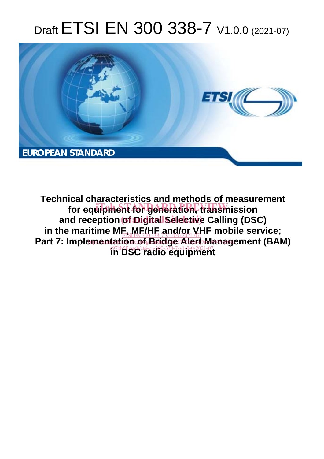# Draft ETSI EN 300 338-7 V1.0.0 (2021-07)



**Technical characteristics and methods of measurement**  for equipment for generation, transmission and reception of Digital Selective Calling (DSC) in the maritime ME, MF/HF and/or VHF mobile service;<br>
Fisikh 300338-791.00 (2021-07) Part 7: Implementation of Bridge Alert Management (BAM) **in DSC radio equipment**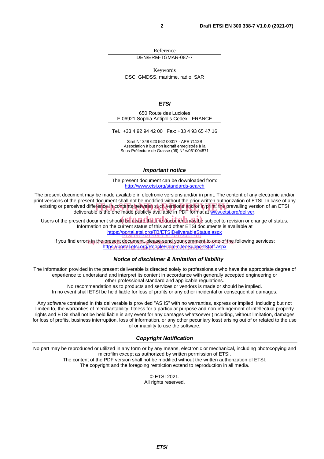Reference DEN/ERM-TGMAR-087-7

Keywords

DSC, GMDSS, maritime, radio, SAR

#### *ETSI*

650 Route des Lucioles F-06921 Sophia Antipolis Cedex - FRANCE

Tel.: +33 4 92 94 42 00 Fax: +33 4 93 65 47 16

Siret N° 348 623 562 00017 - APE 7112B Association à but non lucratif enregistrée à la Sous-Préfecture de Grasse (06) N° w061004871

#### *Important notice*

The present document can be downloaded from: http://www.etsi.org/standards-search

The present document may be made available in electronic versions and/or in print. The content of any electronic and/or print versions of the present document shall not be modified without the prior written authorization of ETSI. In case of any existing or perceived difference in contents between such versions and/or in/print, the prevailing version of an ETSI deliverable is the one made publicly available in PDF format at www.etsi.org/deliver. deliverable is the one made publicly available in PDF format at www.etsi.org/deliver.

Users of the present document should be aware that the document may be subject to revision or change of status. Information on the current status of this and other ETSI documents is available at https://portal.etsi.org/TB/ETSIDeliverableStatus.aspx ETSI EN 300 338-7 V1.0.0 (2021-07)

If you find errors in the present document. please send your comment to one of the following services: <u>https://portal.etsi.org/People/CommiteeSupportStaff.aspx</u>

#### *Notice of disclaimer & limitation of liability*

The information provided in the present deliverable is directed solely to professionals who have the appropriate degree of experience to understand and interpret its content in accordance with generally accepted engineering or other professional standard and applicable regulations.

No recommendation as to products and services or vendors is made or should be implied.

In no event shall ETSI be held liable for loss of profits or any other incidental or consequential damages.

Any software contained in this deliverable is provided "AS IS" with no warranties, express or implied, including but not limited to, the warranties of merchantability, fitness for a particular purpose and non-infringement of intellectual property rights and ETSI shall not be held liable in any event for any damages whatsoever (including, without limitation, damages for loss of profits, business interruption, loss of information, or any other pecuniary loss) arising out of or related to the use of or inability to use the software.

#### *Copyright Notification*

No part may be reproduced or utilized in any form or by any means, electronic or mechanical, including photocopying and microfilm except as authorized by written permission of ETSI. The content of the PDF version shall not be modified without the written authorization of ETSI.

The copyright and the foregoing restriction extend to reproduction in all media.

© ETSI 2021. All rights reserved.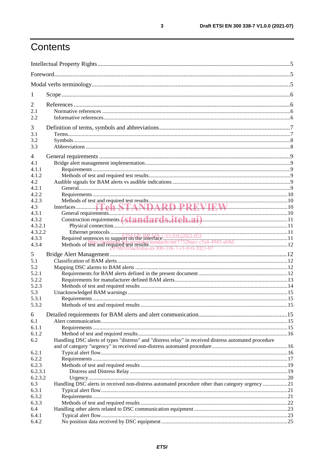## Contents

| 1              |                                                                                                       |  |  |
|----------------|-------------------------------------------------------------------------------------------------------|--|--|
| $\overline{2}$ |                                                                                                       |  |  |
| 2.1            |                                                                                                       |  |  |
| 2.2            |                                                                                                       |  |  |
|                |                                                                                                       |  |  |
| 3              |                                                                                                       |  |  |
| 3.1            |                                                                                                       |  |  |
| 3.2<br>3.3     |                                                                                                       |  |  |
|                |                                                                                                       |  |  |
| 4              |                                                                                                       |  |  |
| 4.1            |                                                                                                       |  |  |
| 4.1.1          |                                                                                                       |  |  |
| 4.1.2          |                                                                                                       |  |  |
| 4.2            |                                                                                                       |  |  |
| 4.2.1          |                                                                                                       |  |  |
| 4.2.2          |                                                                                                       |  |  |
| 4.2.3          |                                                                                                       |  |  |
| 4.3<br>4.3.1   |                                                                                                       |  |  |
| 4.3.2          |                                                                                                       |  |  |
| 4.3.2.1        |                                                                                                       |  |  |
| 4.3.2.2        |                                                                                                       |  |  |
| 4.3.3          |                                                                                                       |  |  |
| 4.3.4          |                                                                                                       |  |  |
|                |                                                                                                       |  |  |
| 5              |                                                                                                       |  |  |
| 5.1            |                                                                                                       |  |  |
| 5.2            |                                                                                                       |  |  |
| 5.2.1          |                                                                                                       |  |  |
| 5.2.2          |                                                                                                       |  |  |
| 5.2.3<br>5.3   |                                                                                                       |  |  |
| 5.3.1          |                                                                                                       |  |  |
| 5.3.2          |                                                                                                       |  |  |
|                |                                                                                                       |  |  |
| 6              |                                                                                                       |  |  |
| 6.1            |                                                                                                       |  |  |
| 6.1.1          |                                                                                                       |  |  |
| 6.1.2          |                                                                                                       |  |  |
| 6.2            | Handling DSC alerts of types "distress" and "distress relay" in received distress automated procedure |  |  |
|                |                                                                                                       |  |  |
| 6.2.1<br>6.2.2 |                                                                                                       |  |  |
| 6.2.3          |                                                                                                       |  |  |
| 6.2.3.1        |                                                                                                       |  |  |
| 6.2.3.2        |                                                                                                       |  |  |
| 6.3            | Handling DSC alerts in received non-distress automated procedure other than category urgency 21       |  |  |
| 6.3.1          |                                                                                                       |  |  |
| 6.3.2          |                                                                                                       |  |  |
| 6.3.3          |                                                                                                       |  |  |
| 6.4            |                                                                                                       |  |  |
| 6.4.1          |                                                                                                       |  |  |
| 6.4.2          |                                                                                                       |  |  |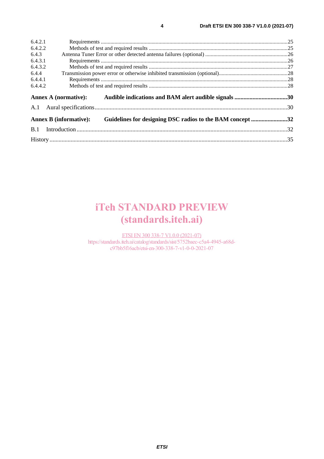| 6.4.2.1 |                                                                                            |  |  |
|---------|--------------------------------------------------------------------------------------------|--|--|
| 6.4.2.2 |                                                                                            |  |  |
| 6.4.3   |                                                                                            |  |  |
| 6.4.3.1 |                                                                                            |  |  |
| 6.4.3.2 |                                                                                            |  |  |
| 6.4.4   |                                                                                            |  |  |
| 6.4.4.1 |                                                                                            |  |  |
| 6.4.4.2 |                                                                                            |  |  |
|         | <b>Annex A (normative):</b><br>Audible indications and BAM alert audible signals 30        |  |  |
| A.1     |                                                                                            |  |  |
|         | Guidelines for designing DSC radios to the BAM concept 32<br><b>Annex B (informative):</b> |  |  |
| B.1     |                                                                                            |  |  |
|         |                                                                                            |  |  |

## iTeh STANDARD PREVIEW (standards.iteh.ai)

ETSI EN 300 338-7 V1.0.0 (2021-07) https://standards.iteh.ai/catalog/standards/sist/5752baec-c5a4-4945-a68dc97bb5f16acb/etsi-en-300-338-7-v1-0-0-2021-07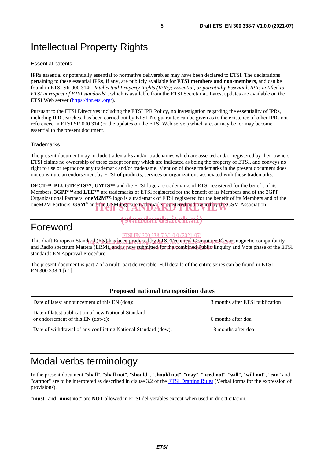## Intellectual Property Rights

#### Essential patents

IPRs essential or potentially essential to normative deliverables may have been declared to ETSI. The declarations pertaining to these essential IPRs, if any, are publicly available for **ETSI members and non-members**, and can be found in ETSI SR 000 314: *"Intellectual Property Rights (IPRs); Essential, or potentially Essential, IPRs notified to ETSI in respect of ETSI standards"*, which is available from the ETSI Secretariat. Latest updates are available on the ETSI Web server (https://ipr.etsi.org/).

Pursuant to the ETSI Directives including the ETSI IPR Policy, no investigation regarding the essentiality of IPRs, including IPR searches, has been carried out by ETSI. No guarantee can be given as to the existence of other IPRs not referenced in ETSI SR 000 314 (or the updates on the ETSI Web server) which are, or may be, or may become, essential to the present document.

#### **Trademarks**

The present document may include trademarks and/or tradenames which are asserted and/or registered by their owners. ETSI claims no ownership of these except for any which are indicated as being the property of ETSI, and conveys no right to use or reproduce any trademark and/or tradename. Mention of those trademarks in the present document does not constitute an endorsement by ETSI of products, services or organizations associated with those trademarks.

**DECT™**, **PLUGTESTS™**, **UMTS™** and the ETSI logo are trademarks of ETSI registered for the benefit of its Members. **3GPP™** and **LTE™** are trademarks of ETSI registered for the benefit of its Members and of the 3GPP Organizational Partners. **oneM2M™** logo is a trademark of ETSI registered for the benefit of its Members and of the oneM2M Partners. **GSM®** and the GSM logo are trademarks registered and owned by the GSM Association.

### Foreword

us.iteh.a

This draft European Standard (EN) has been produced by ETSI Technical Committee Electromagnetic compatibility and Radio spectrum Matters (ERM), and is now submitted for the combined Public Enquiry and Vote phase of the ETSI standards EN Approval Procedure. ETSI EN 300 338-7 V1.0.0 (2021-07)

The present document is part 7 of a multi-part deliverable. Full details of the entire series can be found in ETSI EN 300 338-1 [i.1].

| <b>Proposed national transposition dates</b>                                                |                                 |  |  |
|---------------------------------------------------------------------------------------------|---------------------------------|--|--|
| Date of latest announcement of this EN (doa):                                               | 3 months after ETSI publication |  |  |
| Date of latest publication of new National Standard<br>or endorsement of this $EN$ (dop/e): | 6 months after doa              |  |  |
| Date of withdrawal of any conflicting National Standard (dow):                              | 18 months after doa             |  |  |

## Modal verbs terminology

In the present document "**shall**", "**shall not**", "**should**", "**should not**", "**may**", "**need not**", "**will**", "**will not**", "**can**" and "**cannot**" are to be interpreted as described in clause 3.2 of the ETSI Drafting Rules (Verbal forms for the expression of provisions).

"**must**" and "**must not**" are **NOT** allowed in ETSI deliverables except when used in direct citation.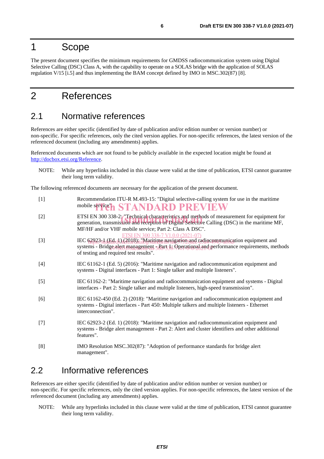### 1 Scope

The present document specifies the minimum requirements for GMDSS radiocommunication system using Digital Selective Calling (DSC) Class A, with the capability to operate on a SOLAS bridge with the application of SOLAS regulation V/15 [i.5] and thus implementing the BAM concept defined by IMO in MSC.302(87) [8].

## 2 References

### 2.1 Normative references

References are either specific (identified by date of publication and/or edition number or version number) or non-specific. For specific references, only the cited version applies. For non-specific references, the latest version of the referenced document (including any amendments) applies.

Referenced documents which are not found to be publicly available in the expected location might be found at http://docbox.etsi.org/Reference.

NOTE: While any hyperlinks included in this clause were valid at the time of publication, ETSI cannot guarantee their long term validity.

The following referenced documents are necessary for the application of the present document.

| - [1]             | Recommendation ITU-R M.493-15: "Digital selective-calling system for use in the maritime |
|-------------------|------------------------------------------------------------------------------------------|
|                   | mobile service" <b>h STANDARD PREVIEW</b>                                                |
| $\lceil 2 \rceil$ | ETSI EN 300 338-2 Technical characteristics and methods of measurement for equipment for |

- ETSI EN 300 338-2: "Technical characteristics and methods of measurement for equipment for generation, transmission and reception of Digital Selective Calling (DSC) in the maritime MF, MF/HF and/or VHF mobile service; Part 2: Class A DSC". I EN 300 338-7 V1.0.0 (2021-0
- [3] IEC 62923-1 (Ed. 1) (2018): "Maritime navigation and radiocommunication equipment and systems - Bridge alert management 3 Part 13 Operational and performance requirements, methods of testing and required test results".
- [4] IEC 61162-1 (Ed. 5) (2016): "Maritime navigation and radiocommunication equipment and systems - Digital interfaces - Part 1: Single talker and multiple listeners".
- [5] IEC 61162-2: "Maritime navigation and radiocommunication equipment and systems Digital interfaces - Part 2: Single talker and multiple listeners, high-speed transmission".
- [6] IEC 61162-450 (Ed. 2) (2018): "Maritime navigation and radiocommunication equipment and systems - Digital interfaces - Part 450: Multiple talkers and multiple listeners - Ethernet interconnection".
- [7] IEC 62923-2 (Ed. 1) (2018): "Maritime navigation and radiocommunication equipment and systems - Bridge alert management - Part 2: Alert and cluster identifiers and other additional features".
- [8] IMO Resolution MSC.302(87): "Adoption of performance standards for bridge alert management".

### 2.2 Informative references

References are either specific (identified by date of publication and/or edition number or version number) or non-specific. For specific references, only the cited version applies. For non-specific references, the latest version of the referenced document (including any amendments) applies.

NOTE: While any hyperlinks included in this clause were valid at the time of publication, ETSI cannot guarantee their long term validity.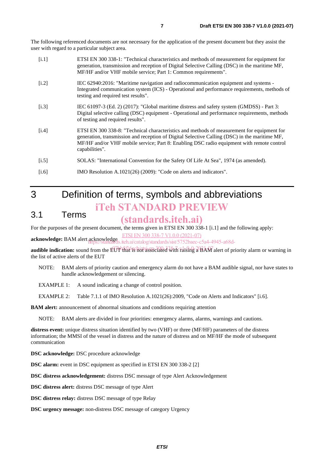The following referenced documents are not necessary for the application of the present document but they assist the user with regard to a particular subject area.

| [i.1] | ETSI EN 300 338-1: "Technical characteristics and methods of measurement for equipment for    |
|-------|-----------------------------------------------------------------------------------------------|
|       | generation, transmission and reception of Digital Selective Calling (DSC) in the maritime MF, |
|       | MF/HF and/or VHF mobile service; Part 1: Common requirements".                                |
|       |                                                                                               |

- [i.2] IEC 62940:2016: "Maritime navigation and radiocommunication equipment and systems Integrated communication system (ICS) - Operational and performance requirements, methods of testing and required test results".
- [i.3] IEC 61097-3 (Ed. 2) (2017): "Global maritime distress and safety system (GMDSS) Part 3: Digital selective calling (DSC) equipment - Operational and performance requirements, methods of testing and required results".
- [i.4] ETSI EN 300 338-8: "Technical characteristics and methods of measurement for equipment for generation, transmission and reception of Digital Selective Calling (DSC) in the maritime MF, MF/HF and/or VHF mobile service; Part 8: Enabling DSC radio equipment with remote control capabilities".
- [i.5] SOLAS: "International Convention for the Safety Of Life At Sea", 1974 (as amended).
- [i.6] **IMO Resolution A.1021(26) (2009): "Code on alerts and indicators".**

## 3 Definition of terms, symbols and abbreviations iTeh STANDARD PREVIEW

### 3.1 Terms

### (standards.iteh.ai)

For the purposes of the present document, the terms given in ETSI EN 300 338-1 [i.1] and the following apply:

ETSI EN 300 338-7 V1.0.0 (2021-07)

**acknowledge:** BAM alert acknowledge .iteh.ai/catalog/standards/sist/5752baec-c5a4-4945-a68d-

audible indication: sound from the EUT that is not associated with raising a BAM alert of priority alarm or warning in the list of active alerts of the EUT

NOTE: BAM alerts of priority caution and emergency alarm do not have a BAM audible signal, nor have states to handle acknowledgement or silencing.

EXAMPLE 1: A sound indicating a change of control position.

EXAMPLE 2: Table 7.1.1 of IMO Resolution A.1021(26):2009, "Code on Alerts and Indicators" [i.6].

**BAM alert:** announcement of abnormal situations and conditions requiring attention

NOTE: BAM alerts are divided in four priorities: emergency alarms, alarms, warnings and cautions.

**distress event:** unique distress situation identified by two (VHF) or three (MF/HF) parameters of the distress information; the MMSI of the vessel in distress and the nature of distress and on MF/HF the mode of subsequent communication

**DSC acknowledge:** DSC procedure acknowledge

**DSC alarm:** event in DSC equipment as specified in ETSI EN 300 338-2 [2]

**DSC distress acknowledgement:** distress DSC message of type Alert Acknowledgement

**DSC distress alert:** distress DSC message of type Alert

**DSC distress relay:** distress DSC message of type Relay

**DSC urgency message:** non-distress DSC message of category Urgency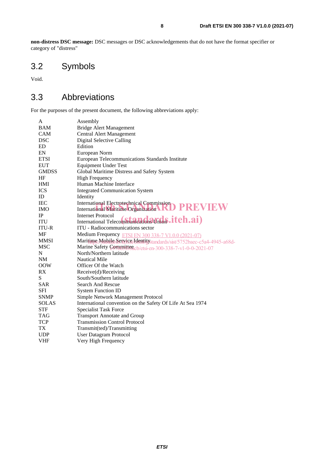**non-distress DSC message:** DSC messages or DSC acknowledgements that do not have the format specifier or category of "distress"

## 3.2 Symbols

Void.

### 3.3 Abbreviations

For the purposes of the present document, the following abbreviations apply:

| A            | Assembly                                                                 |  |  |  |
|--------------|--------------------------------------------------------------------------|--|--|--|
| <b>BAM</b>   | <b>Bridge Alert Management</b>                                           |  |  |  |
| <b>CAM</b>   | Central Alert Management                                                 |  |  |  |
| <b>DSC</b>   | Digital Selective Calling                                                |  |  |  |
| ED           | Edition                                                                  |  |  |  |
| EN           | European Norm                                                            |  |  |  |
| <b>ETSI</b>  | European Telecommunications Standards Institute                          |  |  |  |
| <b>EUT</b>   | <b>Equipment Under Test</b>                                              |  |  |  |
| <b>GMDSS</b> | Global Maritime Distress and Safety System                               |  |  |  |
| HF           | <b>High Frequency</b>                                                    |  |  |  |
| <b>HMI</b>   | Human Machine Interface                                                  |  |  |  |
| <b>ICS</b>   | <b>Integrated Communication System</b>                                   |  |  |  |
| ID           | Identity                                                                 |  |  |  |
| <b>IEC</b>   | <b>International Electrotechnical Commission</b>                         |  |  |  |
| <b>IMO</b>   | International Maritime Organization RD PREVIEW                           |  |  |  |
| IP           | Internet Protocol                                                        |  |  |  |
| <b>ITU</b>   | International Telecommunications Union .itch.ai)                         |  |  |  |
| <b>ITU-R</b> | ITU - Radiocommunications sector                                         |  |  |  |
| MF           | Medium Frequency ETSI EN 300 338-7 V1.0.0 (2021-07)                      |  |  |  |
| <b>MMSI</b>  | Maritime Mobile Senvice Identity standards/sist/5752baec-c5a4-4945-a68d- |  |  |  |
| <b>MSC</b>   | Marine Safety Committee cb/etsi-en-300-338-7-v1-0-0-2021-07              |  |  |  |
| N            | North/Northern latitude                                                  |  |  |  |
| <b>NM</b>    | <b>Nautical Mile</b>                                                     |  |  |  |
| <b>OOW</b>   | Officer Of the Watch                                                     |  |  |  |
| RX           | Receive(d)/Receiving                                                     |  |  |  |
| S            | South/Southern latitude                                                  |  |  |  |
| <b>SAR</b>   | <b>Search And Rescue</b>                                                 |  |  |  |
| <b>SFI</b>   | <b>System Function ID</b>                                                |  |  |  |
| <b>SNMP</b>  | Simple Network Management Protocol                                       |  |  |  |
| <b>SOLAS</b> | International convention on the Safety Of Life At Sea 1974               |  |  |  |
| <b>STF</b>   | <b>Specialist Task Force</b>                                             |  |  |  |
| <b>TAG</b>   | <b>Transport Annotate and Group</b>                                      |  |  |  |
| <b>TCP</b>   | <b>Transmission Control Protocol</b>                                     |  |  |  |
| TX           | Transmit(ted)/Transmitting                                               |  |  |  |
| <b>UDP</b>   | <b>User Datagram Protocol</b>                                            |  |  |  |
| VHF          | Very High Frequency                                                      |  |  |  |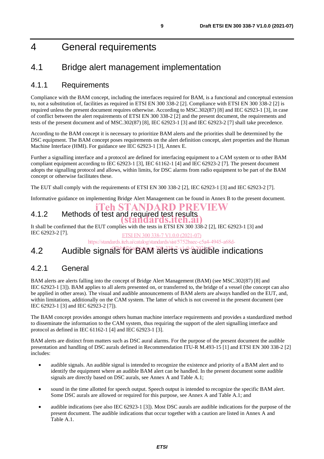## 4 General requirements

### 4.1 Bridge alert management implementation

### 4.1.1 Requirements

Compliance with the BAM concept, including the interfaces required for BAM, is a functional and conceptual extension to, not a substitution of, facilities as required in ETSI EN 300 338-2 [2]. Compliance with ETSI EN 300 338-2 [2] is required unless the present document requires otherwise. According to MSC.302(87) [8] and IEC 62923-1 [3], in case of conflict between the alert requirements of ETSI EN 300 338-2 [2] and the present document, the requirements and tests of the present document and of MSC.302(87) [8], IEC 62923-1 [3] and IEC 62923-2 [7] shall take precedence.

According to the BAM concept it is necessary to prioritize BAM alerts and the priorities shall be determined by the DSC equipment. The BAM concept poses requirements on the alert definition concept, alert properties and the Human Machine Interface (HMI). For guidance see IEC 62923-1 [3], Annex E.

Further a signalling interface and a protocol are defined for interfacing equipment to a CAM system or to other BAM compliant equipment according to IEC 62923-1 [3], IEC 61162-1 [4] and IEC 62923-2 [7]. The present document adopts the signalling protocol and allows, within limits, for DSC alarms from radio equipment to be part of the BAM concept or otherwise facilitates these.

The EUT shall comply with the requirements of ETSI EN 300 338-2 [2], IEC 62923-1 [3] and IEC 62923-2 [7].

Informative guidance on implementing Bridge Alert Management can be found in Annex B to the present document.

#### 4.1.2 Methods of test and required test results iTeh STANDARD PREVIEW

It shall be confirmed that the EUT complies with the tests in ETSI EN 300 338-2 [2], IEC 62923-1 [3] and IEC 62923-2 [7]. (standards.iteh.ai) ETSI EN 300 338-7 V1.0.0 (2021-07)

https://standards.iteh.ai/catalog/standards/sist/5752baec-c5a4-4945-a68d-

## 4.2 Audible signals for BAM alerts vs audible indications

### 4.2.1 General

BAM alerts are alerts falling into the concept of Bridge Alert Management (BAM) (see MSC.302(87) [8] and IEC 62923-1 [3]). BAM applies to all alerts presented on, or transferred to, the bridge of a vessel (the concept can also be applied in other areas). The visual and audible announcements of BAM alerts are always handled on the EUT, and, within limitations, additionally on the CAM system. The latter of which is not covered in the present document (see IEC 62923-1 [3] and IEC 62923-2 [7]).

The BAM concept provides amongst others human machine interface requirements and provides a standardized method to disseminate the information to the CAM system, thus requiring the support of the alert signalling interface and protocol as defined in IEC 61162-1 [4] and IEC 62923-1 [3].

BAM alerts are distinct from matters such as DSC aural alarms. For the purpose of the present document the audible presentation and handling of DSC aurals defined in Recommendation ITU-R M.493-15 [1] and ETSI EN 300 338-2 [2] includes:

- audible signals. An audible signal is intended to recognize the existence and priority of a BAM alert and to identify the equipment where an audible BAM alert can be handled. In the present document some audible signals are directly based on DSC aurals, see Annex A and Table A.1;
- sound in the time allotted for speech output. Speech output is intended to recognize the specific BAM alert. Some DSC aurals are allowed or required for this purpose, see Annex A and Table A.1; and
- audible indications (see also IEC 62923-1 [3]). Most DSC aurals are audible indications for the purpose of the present document. The audible indications that occur together with a caution are listed in Annex A and Table A.1.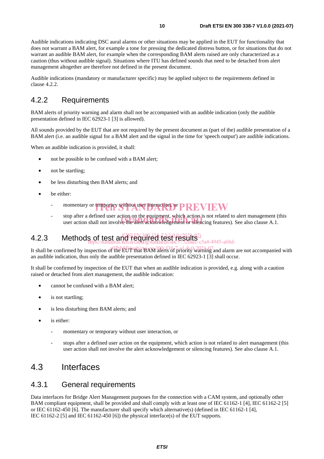Audible indications indicating DSC aural alarms or other situations may be applied in the EUT for functionality that does not warrant a BAM alert, for example a tone for pressing the dedicated distress button, or for situations that do not warrant an audible BAM alert, for example when the corresponding BAM alerts raised are only characterized as a caution (thus without audible signal). Situations where ITU has defined sounds that need to be detached from alert management altogether are therefore not defined in the present document.

Audible indications (mandatory or manufacturer specific) may be applied subject to the requirements defined in clause 4.2.2.

### 4.2.2 Requirements

BAM alerts of priority warning and alarm shall not be accompanied with an audible indication (only the audible presentation defined in IEC 62923-1 [3] is allowed).

All sounds provided by the EUT that are not required by the present document as (part of the) audible presentation of a BAM alert (i.e. an audible signal for a BAM alert and the signal in the time for 'speech output') are audible indications.

When an audible indication is provided, it shall:

- not be possible to be confused with a BAM alert;
- not be startling;
- be less disturbing then BAM alerts; and
- be either:
	- momentary or temporary without user interaction, or PREVIEW
	- top after a defined user action on the equipment, which action is not related to alert management (this user action shall not involve the alert acknowledgement or silencing features). See also clause A.1. user action shall not involve the alert acknowledgement or silencing features). See also clause A.1.

#### 4.2.3 Methods of test and required test results? https://standards.iteh.ai/catalog/standards/sist/5752baec-c5a4-4945-a68d-

It shall be confirmed by inspection of the EUT that BAM alerts of priority warning and alarm are not accompanied with an audible indication, thus only the audible presentation defined in IEC 62923-1 [3] shall occur.

It shall be confirmed by inspection of the EUT that when an audible indication is provided, e.g. along with a caution raised or detached from alert management, the audible indication:

- cannot be confused with a BAM alert;
- is not startling;
- is less disturbing then BAM alerts; and
- is either:
	- momentary or temporary without user interaction, or
	- stops after a defined user action on the equipment, which action is not related to alert management (this user action shall not involve the alert acknowledgement or silencing features). See also clause A.1.

### 4.3 Interfaces

#### 4.3.1 General requirements

Data interfaces for Bridge Alert Management purposes for the connection with a CAM system, and optionally other BAM compliant equipment, shall be provided and shall comply with at least one of IEC 61162-1 [4], IEC 61162-2 [5] or IEC 61162-450 [6]. The manufacturer shall specify which alternative(s) (defined in IEC 61162-1 [4], IEC 61162-2 [5] and IEC 61162-450 [6]) the physical interface(s) of the EUT supports.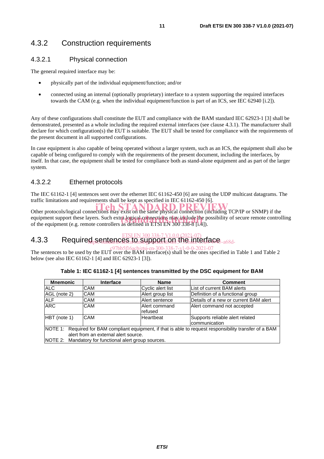### 4.3.2 Construction requirements

#### 4.3.2.1 Physical connection

The general required interface may be:

- physically part of the individual equipment/function; and/or
- connected using an internal (optionally proprietary) interface to a system supporting the required interfaces towards the CAM (e.g. when the individual equipment/function is part of an ICS, see IEC 62940 [i.2]).

Any of these configurations shall constitute the EUT and compliance with the BAM standard IEC 62923-1 [3] shall be demonstrated, presented as a whole including the required external interfaces (see clause 4.3.1). The manufacturer shall declare for which configuration(s) the EUT is suitable. The EUT shall be tested for compliance with the requirements of the present document in all supported configurations.

In case equipment is also capable of being operated without a larger system, such as an ICS, the equipment shall also be capable of being configured to comply with the requirements of the present document, including the interfaces, by itself. In that case, the equipment shall be tested for compliance both as stand-alone equipment and as part of the larger system.

#### 4.3.2.2 Ethernet protocols

The IEC 61162-1 [4] sentences sent over the ethernet IEC 61162-450 [6] are using the UDP multicast datagrams. The traffic limitations and requirements shall be kept as specified in IEC 61162-450 [6].

Other protocols/logical connections may exist on the same physical connection (including TCP/IP or SNMP) if the equipment support these layers. Such extra logical connections may include the possibility of secure remote controlling<br>of the equipment (e.g. remote controllers as defined in ETSI EN 300 338-8 Lt41). of the equipment (e.g. remote controllers as defined in ETSI EN 300 338-8 [i.4]).

#### <u>ETSI EN 300 338-7 V1.0.0 (2021-07)</u><br>4.3.3 Required sentences to support on the interface. https://standardis.iteh.ai/catalogy/sistematic/sistematic/sistematic/sistematic/s

The sentences to be used by the EUT over the BAM interface(s) shall be the ones specified in Table 1 and Table 2 c97bb5f16acb/etsi-en-300-338-7-v1-0-0-2021-07below (see also IEC 61162-1 [4] and IEC 62923-1 [3]).

| <b>Mnemonic</b>                                                                                                                                   | <b>Interface</b> | <b>Name</b>              | <b>Comment</b>                                   |
|---------------------------------------------------------------------------------------------------------------------------------------------------|------------------|--------------------------|--------------------------------------------------|
| <b>ALC</b>                                                                                                                                        | <b>CAM</b>       | Cyclic alert list        | List of current BAM alerts                       |
| AGL (note 2)                                                                                                                                      | <b>CAM</b>       | Alert group list         | Definition of a functional group                 |
| <b>ALF</b>                                                                                                                                        | <b>CAM</b>       | Alert sentence           | Details of a new or current BAM alert            |
| <b>ARC</b>                                                                                                                                        | CAM              | Alert command<br>refused | Alert command not accepted                       |
| $HBT$ (note 1)                                                                                                                                    | CAM              | Heartbeat                | Supports reliable alert related<br>communication |
| NOTE 1: Required for BAM compliant equipment, if that is able to request responsibility transfer of a BAM<br>alert from an external alert source. |                  |                          |                                                  |
| NOTE 2: Mandatory for functional alert group sources.                                                                                             |                  |                          |                                                  |

**Table 1: IEC 61162-1 [4] sentences transmitted by the DSC equipment for BAM**